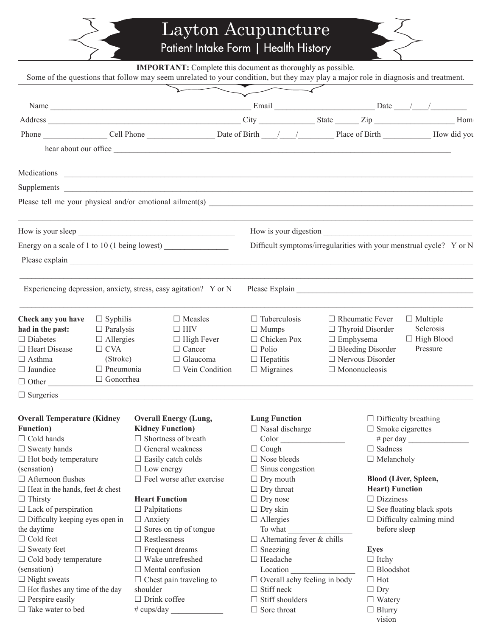Layton Acupuncture<br>Patient Intake Form | Health History

|                                               |                                     | <b>IMPORTANT:</b> Complete this document as thoroughly as possible.<br>Some of the questions that follow may seem unrelated to your condition, but they may play a major role in diagnosis and treatment. |  |                                                                     |  |                                                                                   |                                                |  |
|-----------------------------------------------|-------------------------------------|-----------------------------------------------------------------------------------------------------------------------------------------------------------------------------------------------------------|--|---------------------------------------------------------------------|--|-----------------------------------------------------------------------------------|------------------------------------------------|--|
|                                               |                                     |                                                                                                                                                                                                           |  |                                                                     |  |                                                                                   |                                                |  |
|                                               |                                     |                                                                                                                                                                                                           |  |                                                                     |  |                                                                                   |                                                |  |
|                                               |                                     |                                                                                                                                                                                                           |  |                                                                     |  |                                                                                   | Hom                                            |  |
|                                               |                                     |                                                                                                                                                                                                           |  |                                                                     |  |                                                                                   |                                                |  |
|                                               |                                     | hear about our office                                                                                                                                                                                     |  |                                                                     |  |                                                                                   |                                                |  |
|                                               |                                     |                                                                                                                                                                                                           |  |                                                                     |  |                                                                                   |                                                |  |
| Medications                                   |                                     | <u> 1989 - Johann Harry Harry Harry Harry Harry Harry Harry Harry Harry Harry Harry Harry Harry Harry Harry Harry</u>                                                                                     |  |                                                                     |  |                                                                                   |                                                |  |
|                                               |                                     |                                                                                                                                                                                                           |  |                                                                     |  |                                                                                   |                                                |  |
|                                               |                                     |                                                                                                                                                                                                           |  |                                                                     |  |                                                                                   |                                                |  |
|                                               |                                     |                                                                                                                                                                                                           |  |                                                                     |  |                                                                                   |                                                |  |
| Energy on a scale of 1 to 10 (1 being lowest) |                                     |                                                                                                                                                                                                           |  | Difficult symptoms/irregularities with your menstrual cycle? Y or N |  |                                                                                   |                                                |  |
|                                               |                                     |                                                                                                                                                                                                           |  |                                                                     |  |                                                                                   |                                                |  |
|                                               |                                     |                                                                                                                                                                                                           |  |                                                                     |  |                                                                                   |                                                |  |
|                                               |                                     | Experiencing depression, anxiety, stress, easy agitation? Y or N                                                                                                                                          |  |                                                                     |  |                                                                                   |                                                |  |
| Check any you have<br>had in the past:        | $\Box$ Syphilis<br>$\Box$ Paralysis | $\Box$ Measles<br>$\Box$ HIV                                                                                                                                                                              |  | $\Box$ Tuberculosis<br>$\Box$ Mumps                                 |  | $\Box$ Rheumatic Fever<br>$\Box$ Multiple<br>Sclerosis<br>$\Box$ Thyroid Disorder |                                                |  |
| $\Box$ Diabetes                               | $\Box$ Allergies                    | $\Box$ High Fever                                                                                                                                                                                         |  | $\Box$ Chicken Pox                                                  |  | $\Box$ Emphysema                                                                  | $\Box$ High Blood                              |  |
| $\Box$ Heart Disease                          | $\Box$ CVA                          | $\Box$ Cancer                                                                                                                                                                                             |  | $\Box$ Polio                                                        |  | $\Box$ Bleeding Disorder                                                          | Pressure                                       |  |
| $\Box$ Asthma                                 | (Stroke)                            | $\Box$ Glaucoma                                                                                                                                                                                           |  | $\Box$ Hepatitis                                                    |  | $\Box$ Nervous Disorder                                                           |                                                |  |
| $\Box$ Jaundice                               |                                     | $\Box$ Pneumonia<br>$\Box$ Vein Condition                                                                                                                                                                 |  | $\Box$ Migraines<br>$\Box$ Mononucleosis                            |  |                                                                                   |                                                |  |
| $\Box$ Other                                  | □ Gonorrhea                         |                                                                                                                                                                                                           |  |                                                                     |  |                                                                                   |                                                |  |
|                                               |                                     | $\Box$ Surgeries                                                                                                                                                                                          |  |                                                                     |  |                                                                                   |                                                |  |
| <b>Overall Temperature (Kidney</b>            |                                     | <b>Overall Energy (Lung,</b>                                                                                                                                                                              |  | <b>Lung Function</b>                                                |  |                                                                                   | $\Box$ Difficulty breathing                    |  |
| <b>Function</b> )                             |                                     | <b>Kidney Function)</b>                                                                                                                                                                                   |  | $\Box$ Nasal discharge                                              |  |                                                                                   | $\Box$ Smoke cigarettes                        |  |
| $\Box$ Cold hands                             |                                     | $\Box$ Shortness of breath                                                                                                                                                                                |  | Color                                                               |  |                                                                                   | # per day $\qquad$                             |  |
| $\Box$ Sweaty hands                           |                                     | $\Box$ General weakness                                                                                                                                                                                   |  | $\Box$ Cough                                                        |  | $\Box$ Sadness                                                                    |                                                |  |
| $\Box$ Hot body temperature                   |                                     | $\Box$ Easily catch colds                                                                                                                                                                                 |  | $\Box$ Nose bleeds                                                  |  |                                                                                   | $\Box$ Melancholy                              |  |
| (sensation)                                   |                                     | $\Box$ Low energy                                                                                                                                                                                         |  | $\Box$ Sinus congestion                                             |  |                                                                                   |                                                |  |
| $\Box$ Afternoon flushes                      |                                     | $\Box$ Feel worse after exercise                                                                                                                                                                          |  | $\Box$ Dry mouth                                                    |  |                                                                                   | <b>Blood (Liver, Spleen,</b>                   |  |
| $\Box$ Heat in the hands, feet & chest        |                                     |                                                                                                                                                                                                           |  | $\Box$ Dry throat                                                   |  |                                                                                   | <b>Heart</b> ) Function                        |  |
| $\Box$ Thirsty                                |                                     | <b>Heart Function</b>                                                                                                                                                                                     |  | $\Box$ Dry nose                                                     |  |                                                                                   | $\Box$ Dizziness                               |  |
| $\Box$ Lack of perspiration                   |                                     | $\Box$ Palpitations                                                                                                                                                                                       |  | $\Box$ Dry skin                                                     |  |                                                                                   | $\Box$ See floating black spots                |  |
| $\Box$ Difficulty keeping eyes open in        |                                     | $\Box$ Anxiety                                                                                                                                                                                            |  | $\Box$ Allergies                                                    |  |                                                                                   | $\Box$ Difficulty calming mind<br>before sleep |  |
| the daytime                                   |                                     | $\Box$ Sores on tip of tongue                                                                                                                                                                             |  | To what                                                             |  |                                                                                   |                                                |  |
| $\Box$ Cold feet                              |                                     | $\Box$ Restlessness                                                                                                                                                                                       |  | $\Box$ Alternating fever & chills                                   |  |                                                                                   |                                                |  |
| $\Box$ Sweaty feet                            |                                     | $\Box$ Frequent dreams                                                                                                                                                                                    |  | $\Box$ Sneezing                                                     |  | <b>Eyes</b>                                                                       |                                                |  |
| $\Box$ Cold body temperature                  |                                     | $\Box$ Wake unrefreshed                                                                                                                                                                                   |  | $\Box$ Headache                                                     |  | $\Box$ Itchy                                                                      |                                                |  |
| (sensation)                                   |                                     | $\Box$ Mental confusion                                                                                                                                                                                   |  | Location                                                            |  |                                                                                   | $\Box$ Bloodshot                               |  |
| $\Box$ Night sweats                           |                                     | $\Box$ Chest pain traveling to                                                                                                                                                                            |  | $\Box$ Overall achy feeling in body                                 |  | $\Box$ Hot                                                                        |                                                |  |
| $\Box$ Hot flashes any time of the day        |                                     | shoulder                                                                                                                                                                                                  |  | $\Box$ Stiff neck                                                   |  | $\Box$ Dry                                                                        |                                                |  |
| $\Box$ Perspire easily                        |                                     | $\Box$ Drink coffee                                                                                                                                                                                       |  | $\Box$ Stiff shoulders                                              |  | $\Box$ Watery                                                                     |                                                |  |
| $\Box$ Take water to bed                      |                                     | # cups/day                                                                                                                                                                                                |  | $\Box$ Sore throat                                                  |  |                                                                                   | $\Box$ Blurry                                  |  |

vision

 $\leq$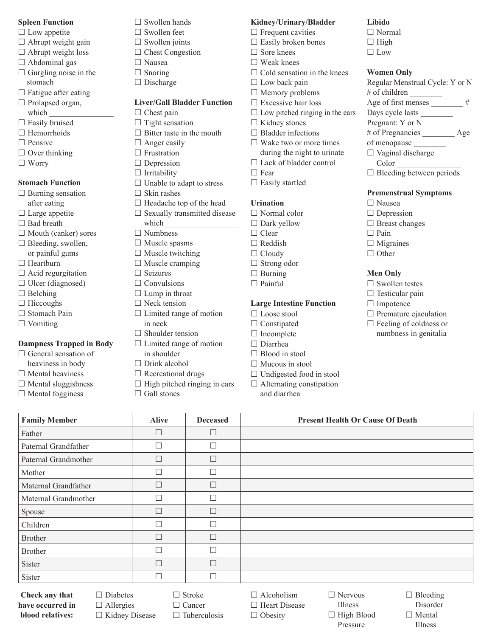### **Spleen Function**

- $\Box$  Low appetite
- $\Box$  Abrupt weight gain
- $\Box$  Abrupt weight loss
- Abdominal gas
- $\Box$  Gurgling noise in the stomach
- $\Box$  Fatigue after eating
- $\Box$  Prolapsed organ, which
- $\square$  Easily bruised
- $\Box$  Hemorrhoids
- $\Box$  Pensive
- $\Box$  Over thinking
- Worry

### **Stomach Function**

- $\Box$  Burning sensation
- after eating
- $\Box$  Large appetite  $\Box$  Bad breath
- 
- $\Box$  Mouth (canker) sores
- $\square$  Bleeding, swollen, or painful gums
- $\Box$  Heartburn
- $\Box$  Acid regurgitation
- $\Box$  Ulcer (diagnosed)
- $\Box$  Belching
- $\Box$  Hiccoughs
- □ Stomach Pain
- $\Box$  Vomiting

### **Dampness Trapped in Body**

- $\Box$  General sensation of heaviness in body  $\Box$  Mental heaviness
- $\Box$  Mental sluggishness
- $\square$  Mental fogginess

**Check any that have occurred in blood relatives:**

- $\Box$  Swollen hands
- $\Box$  Swollen feet
- $\Box$  Swollen joints
- □ Chest Congestion
- Nausea
- $\Box$  Snoring
- □ Discharge

## **Liver/Gall Bladder Function**

- $\Box$  Chest pain
- $\Box$  Tight sensation
- $\Box$  Bitter taste in the mouth
- $\Box$  Anger easily
- $\Box$  Frustration
- $\Box$  Depression
- $\Box$  Irritability
- $\Box$  Unable to adapt to stress
- $\Box$  Skin rashes
- $\Box$  Headache top of the head
- $\square$  Sexually transmitted disease
- which
- Numbness
- $\square$  Muscle spasms
- $\square$  Muscle twitching  $\Box$  Muscle cramping
- $\Box$  Seizures
- $\Box$  Convulsions
- $\Box$  Lump in throat
- □ Neck tension
- $\Box$  Limited range of motion
- in neck
- $\Box$  Shoulder tension
- $\Box$  Limited range of motion
- in shoulder  $\Box$  Drink alcohol
- 
- $\Box$  Recreational drugs
- $\Box$  High pitched ringing in ears

 $\Box$  Stroke □ Cancer  $\Box$  Tuberculosis

**Family Member Alive Deceased Present Health Or Cause Of Death** 

 $\Box$  Gall stones

Father  $\Box$ Paternal Grandfather  $\Box$ Paternal Grandmother  $\Box$ Mother  $\Box$ Maternal Grandfather  $\Box$ Maternal Grandmother  $\Box$ Spouse  $\Box$ Children Brother  $\Box$ Brother  $\Box$ Sister  $\Box$   $\Box$   $\Box$ Sister  $\Box$ 

> $\Box$  Diabetes □ Allergies  $\Box$  Kidney Disease

## **Kidney/Urinary/Bladder**

**Libido** □ Normal  $\Box$  High □ Low

**Women Only**

# of children

Color \_\_\_\_\_\_\_\_\_\_\_\_\_\_\_\_

 Nausea  $\Box$  Depression □ Breast changes

 $\Box$  Pain  $\Box$  Migraines  $\Box$  Other

**Men Only**  $\square$  Swollen testes  $\Box$  Testicular pain  $\Box$  Impotence

Regular Menstrual Cycle: Y or N

Age of first menses  $\#$ Days cycle lasts \_\_\_\_\_\_\_\_ Pregnant: Y or N

# of Pregnancies \_\_\_\_\_\_\_\_ Age

 $\Box$  Bleeding between periods

**Premenstrual Symptoms**

 $\square$  Premature ejaculation  $\Box$  Feeling of coldness or numbness in genitalia

of menopause \_\_\_\_\_\_\_\_  $\Box$  Vaginal discharge

- $\Box$  Frequent cavities
- $\Box$  Easily broken bones
- $\Box$  Sore knees
- $\Box$  Weak knees
- $\Box$  Cold sensation in the knees
- $\Box$  Low back pain
- □ Memory problems
- $\square$  Excessive hair loss
- $\Box$  Low pitched ringing in the ears
- $\Box$  Kidney stones
- $\Box$  Bladder infections
- $\Box$  Wake two or more times during the night to urinate
- □ Lack of bladder control
- $\Box$  Fear
- $\Box$  Easily startled

#### **Urination**

- Normal color
- □ Dark yellow
- $\Box$  Clear
- $\Box$  Reddish
- $\Box$  Cloudy
- □ Strong odor
- $\Box$  Burning
- $\Box$  Painful

#### **Large Intestine Function**

- □ Loose stool
- $\Box$  Constipated
- $\Box$  Incomplete
- □ Diarrhea
- □ Blood in stool

 $\Box$  Alcoholism □ Heart Disease  $\Box$  Obesity

 Nervous Illness  $\Box$  High Blood Pressure

 $\Box$  Bleeding Disorder □ Mental Illness

 $\Box$  Mucous in stool

and diarrhea

□ Undigested food in stool  $\Box$  Alternating constipation